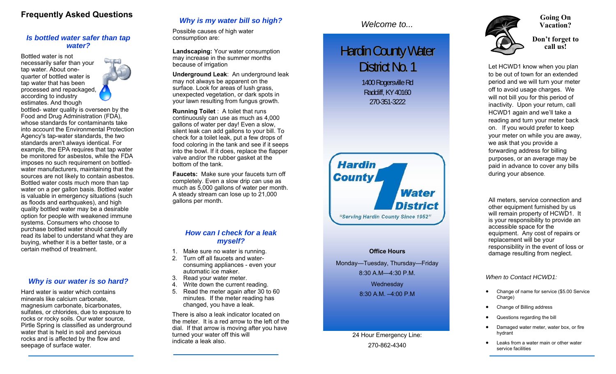### **Frequently Asked Questions**

#### *Is bottled water safer than tap water?*

Bottled water is not necessarily safer than your tap water. About onequarter of bottled water is tap water that has been processed and repackaged, according to industry estimates. And though



bottled- water quality is overseen by the Food and Drug Administration (FDA), whose standards for contaminants take into account the Environmental Protection Agency's tap-water standards, the two standards aren't always identical. For example, the EPA requires that tap water be monitored for asbestos, while the FDA imposes no such requirement on bottledwater manufacturers, maintaining that the sources are not likely to contain asbestos. Bottled water costs much more than tap water on a per gallon basis. Bottled water is valuable in emergency situations (such as floods and earthquakes), and high quality bottled water may be a desirable option for people with weakened immune systems. Consumers who choose to purchase bottled water should carefully read its label to understand what they are buying, whether it is a better taste, or a certain method of treatment.

#### *Why is our water is so hard?*

Hard water is water which contains minerals like calcium carbonate, magnesium carbonate, bicarbonates, sulfates, or chlorides, due to exposure to rocks or rocky soils. Our water source, Pirtle Spring is classified as underground water that is held in soil and pervious rocks and is affected by the flow and seepage of surface water.

### *Why is my water bill so high?*

Possible causes of high water consumption are:

**Landscaping:** Your water consumption may increase in the summer months because of irrigation

**Underground Leak**: An underground leak may not always be apparent on the surface. Look for areas of lush grass, unexpected vegetation, or dark spots in your lawn resulting from fungus growth.

**Running Toilet** : A toilet that runs continuously can use as much as 4,000 gallons of water per day! Even a slow, silent leak can add gallons to your bill. To check for a toilet leak, put a few drops of food coloring in the tank and see if it seeps into the bowl. If it does, replace the flapper valve and/or the rubber gasket at the bottom of the tank.

**Faucets:** Make sure your faucets turn off completely. Even a slow drip can use as much as 5,000 gallons of water per month. A steady stream can lose up to 21,000 gallons per month.

#### *How can I check for a leak myself?*

- 1. Make sure no water is running.
- 2. Turn off all faucets and waterconsuming appliances - even your automatic ice maker.
- 3. Read your water meter.
- 4. Write down the current reading.
- 5. Read the meter again after 30 to 60 minutes. If the meter reading has changed, you have a leak.

There is also a leak indicator located on the meter. It is a red arrow to the left of the dial. If that arrow is moving after you have turned your water off this will indicate a leak also.

# **Hardin County Water** District No. 1

1400 Rogersville Rd Radcliff, KY 40160 270-351-3222



#### **Office Hours**

Monday—Tuesday, Thursday—Friday 8:30 A.M—4:30 P.M. **Wednesday** 8:30 A.M. –4:00 P.M

#### 24 Hour Emergency Line: 270-862-4340



**Don't forget to call us!** 

Let HCWD1 know when you plan to be out of town for an extended period and we will turn your meter off to avoid usage charges. We will not bill you for this period of inactivity. Upon your return, call HCWD1 again and we'll take a reading and turn your meter back on. If you would prefer to keep your meter on while you are away, we ask that you provide a forwarding address for billing purposes, or an average may be paid in advance to cover any bills during your absence.

All meters, service connection and other equipment furnished by us will remain property of HCWD1. It is your responsibility to provide an accessible space for the equipment. Any cost of repairs or replacement will be your responsibility in the event of loss or damage resulting from neglect.

#### *When to Contact HCWD1:*

- $\bullet$  Change of name for service (\$5.00 Service Charge)
- $\bullet$ Change of Billing address
- $\bullet$ Questions regarding the bill
- $\bullet$  Damaged water meter, water box, or fire hydrant
- $\bullet$  Leaks from a water main or other water service facilities